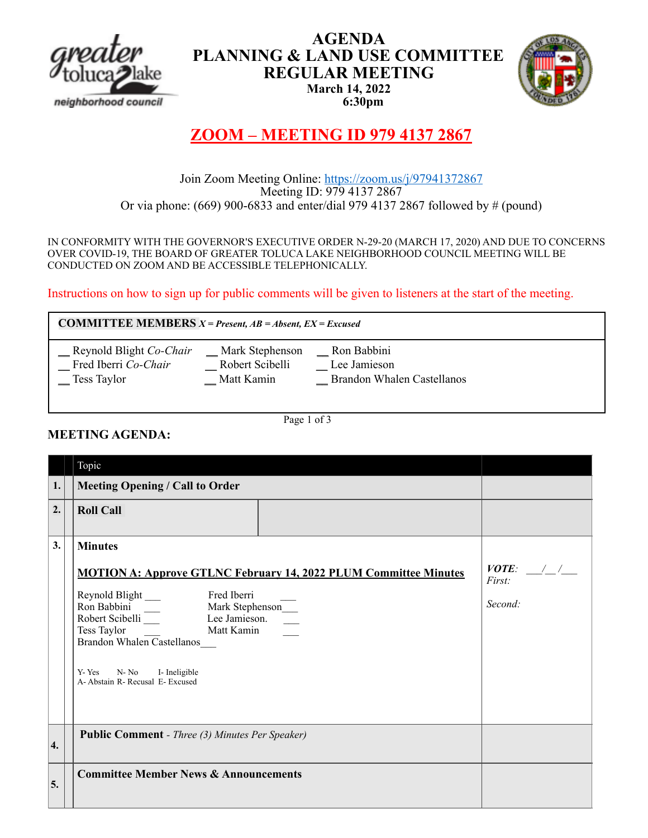

## **AGENDA PLANNING & LAND USE COMMITTEE REGULAR MEETING March 14, 2022 6:30pm**



# **ZOOM – MEETING ID 979 4137 2867**

# Join Zoom Meeting Online: https://zoom.us/j/97941372867<br>Meeting ID: 979 4137 2867 Or via phone: (669) 900-6833 and enter/dial 979 4137 2867 followed by # (pound)

IN CONFORMITY WITH THE GOVERNOR'S EXECUTIVE ORDER N-29-20 (MARCH 17, 2020) AND DUE TO CONCERNS OVER COVID-19, THE BOARD OF GREATER TOLUCA LAKE NEIGHBORHOOD COUNCIL MEETING WILL BE CONDUCTED ON ZOOM AND BE ACCESSIBLE TELEPHONICALLY.

Instructions on how to sign up for public comments will be given to listeners at the start of the meeting.

**COMMITTEE MEMBERS** *X = Present, AB = Absent, EX = Excused*

| Reynold Blight Co-Chair | Mark Stephenson | Ron Babbini                |  |
|-------------------------|-----------------|----------------------------|--|
| Fred Iberri Co-Chair    | Robert Scibelli | Lee Jamieson               |  |
| Tess Taylor             | Matt Kamin      | Brandon Whalen Castellanos |  |

Page 1 of 3

## **MEETING AGENDA:**

|    | Topic                                                                                                                                                                                                                                                                                                                                                     |                                  |
|----|-----------------------------------------------------------------------------------------------------------------------------------------------------------------------------------------------------------------------------------------------------------------------------------------------------------------------------------------------------------|----------------------------------|
| 1. | <b>Meeting Opening / Call to Order</b>                                                                                                                                                                                                                                                                                                                    |                                  |
| 2. | <b>Roll Call</b>                                                                                                                                                                                                                                                                                                                                          |                                  |
| 3. | <b>Minutes</b><br><b>MOTION A: Approve GTLNC February 14, 2022 PLUM Committee Minutes</b><br>Reynold Blight<br>Fred Iberri<br>Ron Babbini<br>Robert Scibelli<br>Tess Taylor Lee Jamieson<br>Matt Kamin<br>Matt Kamin<br>Mark Stephenson<br>Lee Jamieson.<br>Brandon Whalen Castellanos<br>N-No<br>Y-Yes<br>I- Ineligible<br>A-Abstain R-Recusal E-Excused | $VOTE:$ / /<br>First:<br>Second: |
| 4. | <b>Public Comment - Three (3) Minutes Per Speaker)</b>                                                                                                                                                                                                                                                                                                    |                                  |
| 5. | <b>Committee Member News &amp; Announcements</b>                                                                                                                                                                                                                                                                                                          |                                  |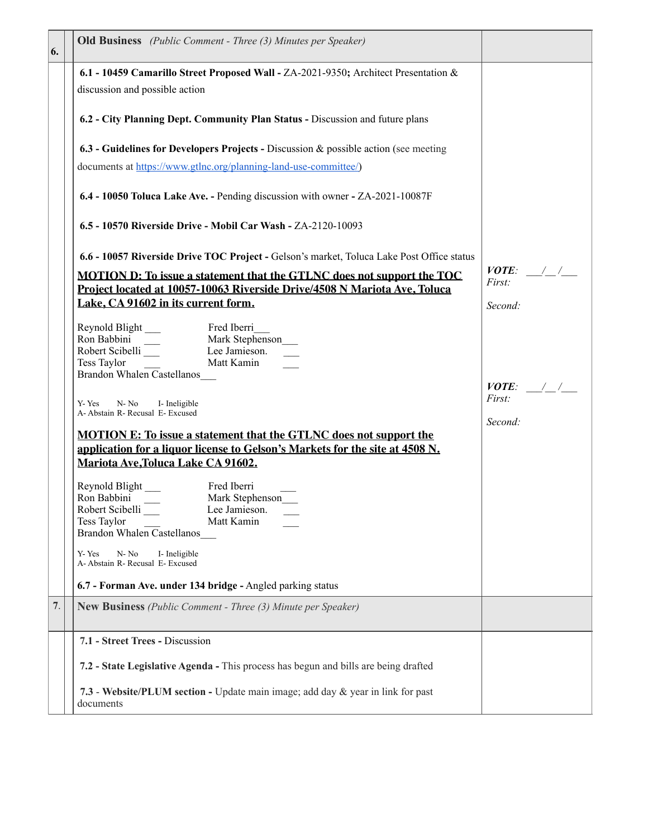| 6. | <b>Old Business</b> (Public Comment - Three (3) Minutes per Speaker)                                                                                                                                                                                                                           |                                  |
|----|------------------------------------------------------------------------------------------------------------------------------------------------------------------------------------------------------------------------------------------------------------------------------------------------|----------------------------------|
|    | 6.1 - 10459 Camarillo Street Proposed Wall - ZA-2021-9350; Architect Presentation &<br>discussion and possible action                                                                                                                                                                          |                                  |
|    | 6.2 - City Planning Dept. Community Plan Status - Discussion and future plans                                                                                                                                                                                                                  |                                  |
|    | 6.3 - Guidelines for Developers Projects - Discussion & possible action (see meeting<br>documents at https://www.gtlnc.org/planning-land-use-committee/)                                                                                                                                       |                                  |
|    | 6.4 - 10050 Toluca Lake Ave. - Pending discussion with owner - ZA-2021-10087F                                                                                                                                                                                                                  |                                  |
|    | 6.5 - 10570 Riverside Drive - Mobil Car Wash - ZA-2120-10093                                                                                                                                                                                                                                   |                                  |
|    | 6.6 - 10057 Riverside Drive TOC Project - Gelson's market, Toluca Lake Post Office status<br><b>MOTION D: To issue a statement that the GTLNC does not support the TOC</b><br>Project located at 10057-10063 Riverside Drive/4508 N Mariota Ave, Toluca<br>Lake, CA 91602 in its current form. | $VOTE:$ / /<br>First:<br>Second: |
|    | Reynold Blight<br>Ron Babbini<br>Robert Scibelli<br>Fred Iberri<br>Mark Stephenson<br>Lee Jamieson.<br>Matt Kamin<br>Tess Taylor<br>Brandon Whalen Castellanos                                                                                                                                 |                                  |
|    | N-No<br>I- Ineligible<br>Y-Yes<br>A- Abstain R- Recusal E- Excused                                                                                                                                                                                                                             | $VOTE:$ / /<br>First:<br>Second: |
|    | <b>MOTION E: To issue a statement that the GTLNC does not support the</b><br>application for a liquor license to Gelson's Markets for the site at 4508 N.<br>Mariota Ave, Toluca Lake CA 91602.                                                                                                |                                  |
|    | Reynold Blight<br>Fred Iberri<br>Ron Babbini<br>Mark Stephenson<br>Robert Scibelli<br>Lee Jamieson.<br>Tess Taylor<br>Matt Kamin<br>Brandon Whalen Castellanos<br>$N- N0$<br>Y-Yes<br>I- Ineligible<br>A- Abstain R- Recusal E- Excused                                                        |                                  |
|    | 6.7 - Forman Ave. under 134 bridge - Angled parking status                                                                                                                                                                                                                                     |                                  |
| 7. | <b>New Business</b> (Public Comment - Three (3) Minute per Speaker)                                                                                                                                                                                                                            |                                  |
|    | 7.1 - Street Trees - Discussion                                                                                                                                                                                                                                                                |                                  |
|    | 7.2 - State Legislative Agenda - This process has begun and bills are being drafted                                                                                                                                                                                                            |                                  |
|    | 7.3 - Website/PLUM section - Update main image; add day & year in link for past<br>documents                                                                                                                                                                                                   |                                  |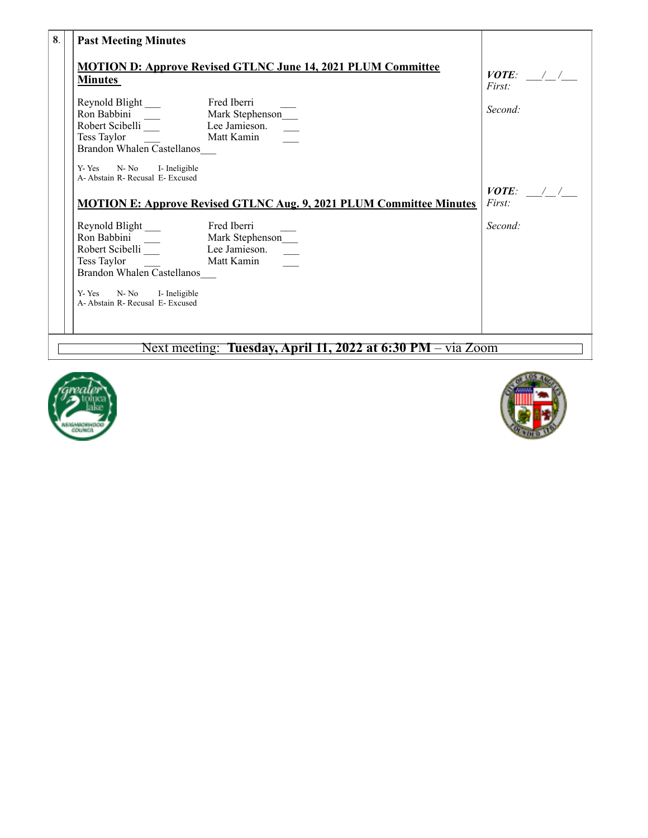| 8. | <b>Past Meeting Minutes</b>                                                                                                                          |                                           |
|----|------------------------------------------------------------------------------------------------------------------------------------------------------|-------------------------------------------|
|    | <b>MOTION D: Approve Revised GTLNC June 14, 2021 PLUM Committee</b><br><b>Minutes</b><br>Brandon Whalen Castellanos<br>N- No I- Ineligible<br>Y- Yes | <i>VOTE:</i> $\angle$<br>First<br>Second: |
|    | A- Abstain R- Recusal E- Excused<br><b>MOTION E: Approve Revised GTLNC Aug. 9, 2021 PLUM Committee Minutes</b>                                       | $VOTE:$ / /<br><i>First</i> :             |
|    | Brandon Whalen Castellanos<br>N- No I- Ineligible<br>Y-Yes<br>A-Abstain R-Recusal E-Excused                                                          | Second:                                   |

## Next meeting: **Tuesday, April 11, 2022 at 6:30 PM** – via Zoom